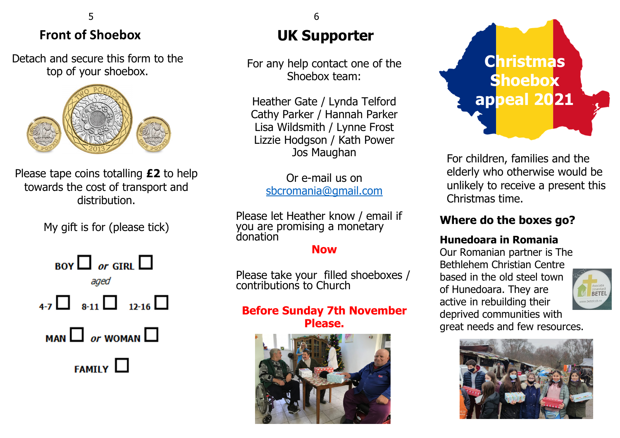Detach and secure this form to the top of your shoebox.



Please tape coins totalling **£2** to help towards the cost of transport and distribution.

My gift is for (please tick)

| BOY $\Box$ or girl $\Box$<br>aged |                               |  |
|-----------------------------------|-------------------------------|--|
|                                   | $_{4-7}$ $_{8-11}$ $_{12-16}$ |  |
| MAN $\Box$ or woman $\Box$        |                               |  |
| FAMILY $\square$                  |                               |  |

# **UK Supporter**

For any help contact one of the Shoebox team:

Heather Gate / Lynda Telford Cathy Parker / Hannah ParkerLisa Wildsmith / Lynne Frost<br>Lizzie Hodason / Kath Power Lizzie Hodgson / Kath PowerJos Maughan

> Or e-mail us onsbcromania@gmail.com

Please let Heather know / email if you are promising a monetary donation

**Now**

Please take your filled shoeboxes / contributions to Church

### **Before Sunday 7th NovemberPlease.**





For children, families and the elderly who otherwise would be unlikely to receive a present this Christmas time.

# **Where do the boxes go?**

### **Hunedoara in Romania**

 Our Romanian partner is The Bethlehem Christian Centre based in the old steel town of Hunedoara. They are active in rebuilding their deprived communities with great needs and few resources.